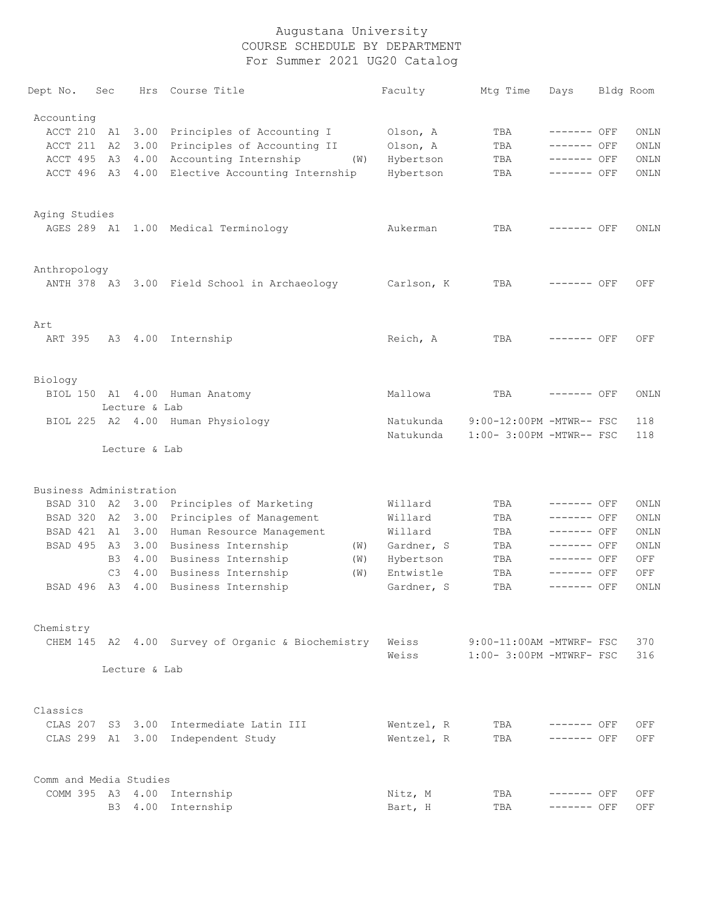| Dept No.                | Sec            |               | Hrs Course Title                                  |     | Faculty        | Mtg Time                                             | Days         | Bldg Room  |
|-------------------------|----------------|---------------|---------------------------------------------------|-----|----------------|------------------------------------------------------|--------------|------------|
| Accounting              |                |               |                                                   |     |                |                                                      |              |            |
| ACCT 210                | A1             |               | 3.00 Principles of Accounting I                   |     | Olson, A       | TBA                                                  | $------$ OFF | ONLN       |
| ACCT 211                | A2             | 3.00          | Principles of Accounting II                       |     | Olson, A       | TBA                                                  | $-----$ OFF  | ONLN       |
| ACCT 495                | A3             |               | 4.00 Accounting Internship                        | (W) | Hybertson      | TBA                                                  | ------- OFF  | ONLN       |
| ACCT 496 A3             |                |               | 4.00 Elective Accounting Internship               |     | Hybertson      | TBA                                                  | ------- OFF  | ONLN       |
| Aging Studies           |                |               |                                                   |     |                |                                                      |              |            |
|                         |                |               | AGES 289 A1 1.00 Medical Terminology              |     | Aukerman       | TBA                                                  | ------- OFF  | ONLN       |
|                         |                |               |                                                   |     |                |                                                      |              |            |
| Anthropology            |                |               |                                                   |     |                |                                                      |              |            |
|                         |                |               | ANTH 378 A3 3.00 Field School in Archaeology      |     | Carlson, K     | TBA                                                  | ------- OFF  | OFF        |
| Art                     |                |               |                                                   |     |                |                                                      |              |            |
| ART 395                 |                |               | A3 4.00 Internship                                |     | Reich, A       | TBA                                                  | ------- OFF  | OFF        |
| Biology                 |                |               |                                                   |     |                |                                                      |              |            |
|                         |                | Lecture & Lab | BIOL 150 A1 4.00 Human Anatomy                    |     | Mallowa        | TBA                                                  | ------- OFF  | ONLN       |
|                         |                |               | BIOL 225 A2 4.00 Human Physiology                 |     | Natukunda      | 9:00-12:00PM -MTWR-- FSC                             |              | 118        |
|                         |                |               |                                                   |     | Natukunda      | 1:00- 3:00PM -MTWR-- FSC                             |              | 118        |
|                         |                | Lecture & Lab |                                                   |     |                |                                                      |              |            |
| Business Administration |                |               |                                                   |     |                |                                                      |              |            |
| BSAD 310                |                | A2 3.00       | Principles of Marketing                           |     | Willard        | TBA                                                  | ------- OFF  | ONLN       |
| BSAD 320                | A2             | 3.00          | Principles of Management                          |     | Willard        | TBA                                                  | ------- OFF  | ONLN       |
| BSAD 421                | A1             | 3.00          | Human Resource Management                         |     | Willard        | TBA                                                  | $------$ OFF | ONLN       |
| BSAD 495                | A3             | 3.00          | Business Internship                               | (W) | Gardner, S     | TBA                                                  | $------$ OFF | ONLN       |
|                         | B <sub>3</sub> | 4.00          | Business Internship                               | (W) | Hybertson      | TBA                                                  | $------$ OFF | OFF        |
|                         | C3             | 4.00          | Business Internship                               | (W) | Entwistle      | TBA                                                  | ------- OFF  | OFF        |
| BSAD 496 A3             |                | 4.00          | Business Internship                               |     | Gardner, S     | TBA                                                  | ------- OFF  | ONLN       |
| Chemistry               |                |               |                                                   |     |                |                                                      |              |            |
|                         |                |               | CHEM 145 A2 4.00 Survey of Organic & Biochemistry |     | Weiss<br>Weiss | 9:00-11:00AM -MTWRF- FSC<br>1:00- 3:00PM -MTWRF- FSC |              | 370<br>316 |
|                         |                | Lecture & Lab |                                                   |     |                |                                                      |              |            |
|                         |                |               |                                                   |     |                |                                                      |              |            |
| Classics                |                |               |                                                   |     |                |                                                      |              |            |
| CLAS 207                |                |               | S3 3.00 Intermediate Latin III                    |     | Wentzel, R     | TBA                                                  | ------- OFF  | OFF        |
|                         |                |               | CLAS 299 A1 3.00 Independent Study                |     | Wentzel, R     | TBA                                                  | $------$ OFF | OFF        |
| Comm and Media Studies  |                |               |                                                   |     |                |                                                      |              |            |
|                         |                |               | COMM 395 A3 4.00 Internship                       |     | Nitz, M        | TBA                                                  | ------- OFF  | OFF        |
|                         | B <sub>3</sub> | 4.00          | Internship                                        |     | Bart, H        | TBA                                                  | ------- OFF  | OFF        |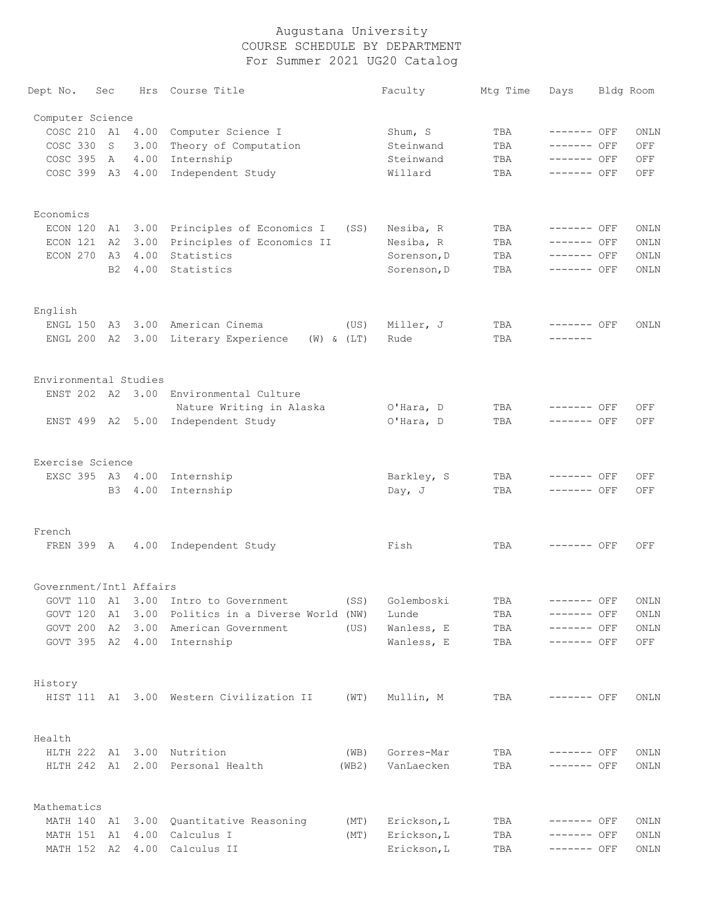| Dept No.                | Sec            |      | Hrs Course Title                                |       | Faculty         | Mtg Time | Days                                                                           | Bldg Room |
|-------------------------|----------------|------|-------------------------------------------------|-------|-----------------|----------|--------------------------------------------------------------------------------|-----------|
| Computer Science        |                |      |                                                 |       |                 |          |                                                                                |           |
|                         |                |      | COSC 210 A1 4.00 Computer Science I             |       | Shum, S         | TBA      | $------$ OFF                                                                   | ONLN      |
| COSC 330                | S              |      | 3.00 Theory of Computation                      |       | Steinwand       | TBA      | $------$ OFF                                                                   | OFF       |
| COSC 395 A              |                | 4.00 | Internship                                      |       | Steinwand       | TBA      | ------- OFF                                                                    | OFF       |
| COSC 399 A3 4.00        |                |      | Independent Study                               |       | Willard         | TBA      | $------$ OFF                                                                   | OFF       |
|                         |                |      |                                                 |       |                 |          |                                                                                |           |
| Economics               |                |      |                                                 |       |                 |          |                                                                                |           |
| ECON 120                | A1             |      | 3.00 Principles of Economics I (SS)             |       | Nesiba, R       | TBA      | ------- OFF                                                                    | ONLN      |
| ECON 121                | A2             |      | 3.00 Principles of Economics II                 |       | Nesiba, R       | TBA      | ------- OFF                                                                    | ONLN      |
| ECON 270                |                |      | A3 4.00 Statistics                              |       | Sorenson, D     | TBA      | ------- OFF                                                                    | ONLN      |
|                         | B <sub>2</sub> |      | 4.00 Statistics                                 |       | Sorenson, D     | TBA      | $------$ OFF                                                                   | ONLN      |
| English                 |                |      |                                                 |       |                 |          |                                                                                |           |
|                         |                |      | ENGL 150 A3 3.00 American Cinema                | (US)  | Miller, J       | TBA      | ------- OFF                                                                    | ONLN      |
|                         |                |      | ENGL 200 A2 3.00 Literary Experience (W) & (LT) |       | Rude            | TBA      |                                                                                |           |
|                         |                |      |                                                 |       |                 |          |                                                                                |           |
| Environmental Studies   |                |      |                                                 |       |                 |          |                                                                                |           |
|                         |                |      | ENST 202 A2 3.00 Environmental Culture          |       |                 |          |                                                                                |           |
|                         |                |      | Nature Writing in Alaska                        |       | $O'$ Hara, D    | TBA      | ------- OFF                                                                    | OFF       |
|                         |                |      | ENST 499 A2 5.00 Independent Study              |       | O'Hara, D       | TBA      | ------- OFF                                                                    | OFF       |
| Exercise Science        |                |      |                                                 |       |                 |          |                                                                                |           |
|                         |                |      | EXSC 395 A3 4.00 Internship                     |       | Barkley, S      | TBA      | $------$ OFF                                                                   | OFF       |
|                         |                |      | B3 4.00 Internship                              |       | Day, $J$        | TBA      | ------- OFF                                                                    | OFF       |
| French                  |                |      |                                                 |       |                 |          |                                                                                |           |
|                         |                |      | FREN 399 A 4.00 Independent Study               |       | Fish            | TBA      | ------- OFF                                                                    | OFF       |
|                         |                |      |                                                 |       |                 |          |                                                                                |           |
| Government/Intl Affairs |                |      |                                                 |       |                 |          |                                                                                |           |
|                         |                |      | GOVT 110 A1 3.00 Intro to Government            |       | (SS) Golemboski | TBA      | $\begin{tabular}{ll} \bf & - & -- -- -- & \tt OFF & \tt ONLN \\ \end{tabular}$ |           |
| GOVT 120                | A1             | 3.00 | Politics in a Diverse World (NW)                |       | Lunde           | TBA      | ------- OFF                                                                    | ONLN      |
| GOVT 200 A2             |                | 3.00 | American Government                             | (US)  | Wanless, E      | TBA      | ------- OFF                                                                    | ONLN      |
|                         |                |      | GOVT 395 A2 4.00 Internship                     |       | Wanless, E      | TBA      | ------- OFF                                                                    | OFF       |
| History                 |                |      |                                                 |       |                 |          |                                                                                |           |
|                         |                |      | HIST 111 A1 3.00 Western Civilization II        | (WT)  | Mullin, M       | TBA      | ------- OFF                                                                    | ONLN      |
|                         |                |      |                                                 |       |                 |          |                                                                                |           |
| Health                  |                |      |                                                 |       |                 |          |                                                                                |           |
|                         |                |      | HLTH 222 A1 3.00 Nutrition                      | (WB)  | Gorres-Mar      | TBA      | ------- OFF                                                                    | ONLN      |
|                         |                |      | HLTH 242 A1 2.00 Personal Health                | (WB2) | VanLaecken      | TBA      | ------- OFF                                                                    | ONLN      |
| Mathematics             |                |      |                                                 |       |                 |          |                                                                                |           |
| MATH 140 A1             |                |      | 3.00 Quantitative Reasoning                     | (MT)  | Erickson, L     | TBA      | ------- OFF                                                                    | ONLN      |
| MATH 151 A1             |                |      | 4.00 Calculus I                                 | (MT)  | Erickson, L     | TBA      | ------- OFF                                                                    | ONLN      |
| MATH 152 A2             |                |      | 4.00 Calculus II                                |       | Erickson, L     | TBA      | ------- OFF                                                                    | ONLN      |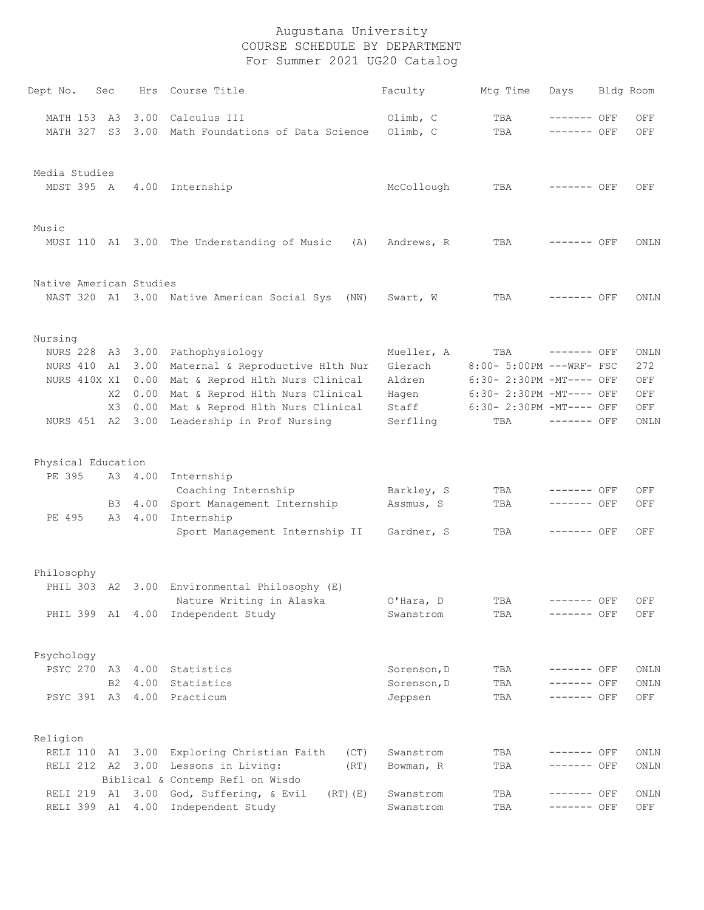| Dept No.                | Sec            |      | Hrs Course Title                                                                | Faculty     | Mtg Time                 | Days         | Bldg Room |
|-------------------------|----------------|------|---------------------------------------------------------------------------------|-------------|--------------------------|--------------|-----------|
| MATH 153 A3             |                |      | 3.00 Calculus III                                                               | Olimb, C    | TBA                      | $------$ OFF | OFF       |
| MATH 327                | S3             |      | 3.00 Math Foundations of Data Science                                           | Olimb, C    | TBA                      | ------- OFF  | OFF       |
| Media Studies           |                |      |                                                                                 |             |                          |              |           |
|                         |                |      | MDST 395 A 4.00 Internship                                                      | McCollough  | TBA                      | $------$ OFF | OFF       |
| Music                   |                |      |                                                                                 |             |                          |              |           |
|                         |                |      | MUSI 110 A1 3.00 The Understanding of Music<br>(A)                              | Andrews, R  | TBA                      | ------- OFF  | ONLN      |
| Native American Studies |                |      |                                                                                 |             |                          |              |           |
|                         |                |      | NAST 320 A1 3.00 Native American Social Sys (NW)                                | Swart, W    | TBA                      | ------- OFF  | ONLN      |
| Nursing                 |                |      |                                                                                 |             |                          |              |           |
|                         |                |      | NURS 228 A3 3.00 Pathophysiology                                                | Mueller, A  | TBA ------- OFF          |              | ONLN      |
| NURS 410 A1             |                |      | 3.00 Maternal & Reproductive Hlth Nur                                           | Gierach     | 8:00- 5:00PM ---WRF- FSC |              | 272       |
| NURS 410X X1            |                |      | 0.00 Mat & Reprod Hlth Nurs Clinical                                            | Aldren      | $6:30-2:30PM -MT---$ OFF |              | OFF       |
|                         | X2             |      | 0.00 Mat & Reprod Hlth Nurs Clinical                                            | Hagen       | 6:30- 2:30PM -MT---- OFF |              | OFF       |
|                         | X3             |      | 0.00 Mat & Reprod Hlth Nurs Clinical                                            | Staff       | 6:30- 2:30PM -MT---- OFF |              | OFF       |
|                         |                |      | NURS 451 A2 3.00 Leadership in Prof Nursing                                     | Serfling    | TBA                      | $------$ OFF | ONLN      |
| Physical Education      |                |      |                                                                                 |             |                          |              |           |
| PE 395                  |                |      | A3 4.00 Internship<br>Coaching Internship                                       | Barkley, S  | TBA                      | ------- OFF  | OFF       |
|                         | B3             |      | 4.00 Sport Management Internship                                                | Assmus, S   | TBA                      | ------- OFF  | OFF       |
| PE 495                  |                |      | A3 4.00 Internship                                                              |             |                          |              |           |
|                         |                |      | Sport Management Internship II Gardner, S                                       |             | TBA                      | ------- OFF  | OFF       |
| Philosophy              |                |      |                                                                                 |             |                          |              |           |
|                         |                |      | PHIL 303 A2 3.00 Environmental Philosophy (E)                                   |             |                          |              |           |
|                         |                |      | Nature Writing in Alaska                                                        | O'Hara, D   | TBA                      | ------- OFF  | OFF       |
| PHIL 399 A1 4.00        |                |      | Independent Study                                                               | Swanstrom   | TBA                      | ------- OFF  | OFF       |
| Psychology              |                |      |                                                                                 |             |                          |              |           |
| PSYC 270 A3             |                |      | 4.00 Statistics                                                                 | Sorenson, D | TBA                      | ------- OFF  | ONLN      |
|                         | B <sub>2</sub> | 4.00 | Statistics                                                                      | Sorenson, D | TBA                      | ------- OFF  | ONLN      |
| PSYC 391 A3             |                | 4.00 | Practicum                                                                       | Jeppsen     | TBA                      | ------- OFF  | OFF       |
| Religion                |                |      |                                                                                 |             |                          |              |           |
|                         |                |      | RELI 110 A1 3.00 Exploring Christian Faith<br>(CT)                              | Swanstrom   | TBA                      | ------- OFF  | ONLN      |
|                         |                |      | RELI 212 A2 3.00 Lessons in Living:<br>(RT)<br>Biblical & Contemp Refl on Wisdo | Bowman, R   | TBA                      | ------- OFF  | ONLN      |
| RELI 219 A1             |                |      | 3.00 God, Suffering, & Evil<br>$(RT)$ $(E)$                                     | Swanstrom   | TBA                      | ------- OFF  | ONLN      |
| RELI 399 A1             |                |      | 4.00 Independent Study                                                          | Swanstrom   | TBA                      | ------- OFF  | OFF       |
|                         |                |      |                                                                                 |             |                          |              |           |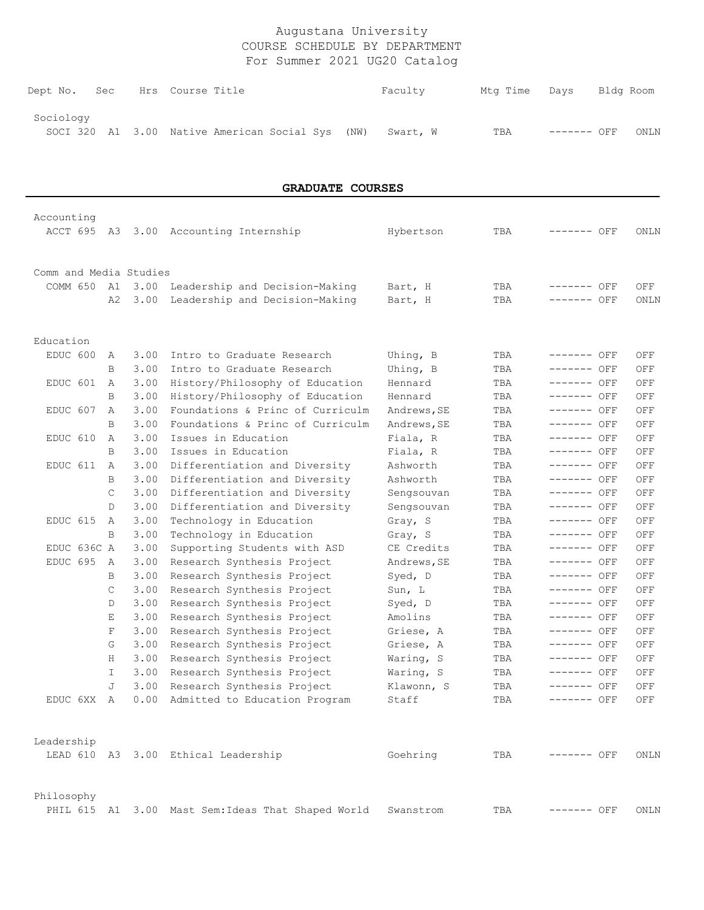| Dept No. Sec |  | Hrs Course Title                                 |  | Faculty  | Mta Time | Davs        | Bldg Room |      |
|--------------|--|--------------------------------------------------|--|----------|----------|-------------|-----------|------|
| Sociology    |  | SOCI 320 A1 3.00 Native American Social Sys (NW) |  | Swart, W | TBA      | ------- OFF |           | ONLN |

**GRADUATE COURSES**

| Accounting             |    |      |                                                    |             |     |              |      |
|------------------------|----|------|----------------------------------------------------|-------------|-----|--------------|------|
| ACCT 695 A3            |    |      | 3.00 Accounting Internship                         | Hybertson   | TBA | ------- OFF  | ONLN |
|                        |    |      |                                                    |             |     |              |      |
|                        |    |      |                                                    |             |     |              |      |
| Comm and Media Studies |    |      |                                                    |             |     |              |      |
| COMM 650               | A1 | 3.00 | Leadership and Decision-Making                     | Bart, H     | TBA | ------- OFF  | OFF  |
|                        | A2 | 3.00 | Leadership and Decision-Making                     | Bart, H     | TBA | ------- OFF  | ONLN |
|                        |    |      |                                                    |             |     |              |      |
| Education              |    |      |                                                    |             |     |              |      |
| EDUC 600               | Α  | 3.00 | Intro to Graduate Research                         | Uhing, B    | TBA | ------- OFF  | OFF  |
|                        | B  | 3.00 | Intro to Graduate Research                         | Uhing, B    | TBA | ------- OFF  | OFF  |
| EDUC 601               | A  | 3.00 | History/Philosophy of Education                    | Hennard     | TBA | ------- OFF  | OFF  |
|                        | B  | 3.00 | History/Philosophy of Education                    | Hennard     | TBA | ------- OFF  | OFF  |
| EDUC 607               | Α  | 3.00 | Foundations & Princ of Curriculm                   | Andrews, SE | TBA | ------- OFF  | OFF  |
|                        | B  | 3.00 | Foundations & Princ of Curriculm                   | Andrews, SE | TBA | ------- OFF  | OFF  |
| EDUC 610               | Α  | 3.00 | Issues in Education                                | Fiala, R    | TBA | ------- OFF  | OFF  |
|                        | B  | 3.00 | Issues in Education                                | Fiala, R    | TBA | ------- OFF  | OFF  |
| EDUC 611               | Α  | 3.00 | Differentiation and Diversity                      | Ashworth    | TBA | ------- OFF  | OFF  |
|                        | B  | 3.00 | Differentiation and Diversity                      | Ashworth    | TBA | ------- OFF  | OFF  |
|                        | C  | 3.00 | Differentiation and Diversity                      | Sengsouvan  | TBA | ------- OFF  | OFF  |
|                        | D. | 3.00 | Differentiation and Diversity                      | Sengsouvan  | TBA | ------- OFF  | OFF  |
| EDUC 615               | Α  | 3.00 | Technology in Education                            | Gray, S     | TBA | ------- OFF  | OFF  |
|                        | B  | 3.00 | Technology in Education                            | Gray, S     | TBA | ------- OFF  | OFF  |
| EDUC 636C A            |    | 3.00 | Supporting Students with ASD                       | CE Credits  | TBA | ------- OFF  | OFF  |
| EDUC 695               | A  | 3.00 | Research Synthesis Project                         | Andrews, SE | TBA | $------$ OFF | OFF  |
|                        | B  | 3.00 | Research Synthesis Project                         | Syed, D     | TBA | $------$ OFF | OFF  |
|                        | C  | 3.00 | Research Synthesis Project                         | Sun, L      | TBA | $------$ OFF | OFF  |
|                        | D  | 3.00 | Research Synthesis Project                         | Syed, D     | TBA | ------- OFF  | OFF  |
|                        | Е  | 3.00 | Research Synthesis Project                         | Amolins     | TBA | ------- OFF  | OFF  |
|                        | F  | 3.00 | Research Synthesis Project                         | Griese, A   | TBA | ------- OFF  | OFF  |
|                        | G  | 3.00 | Research Synthesis Project                         | Griese, A   | TBA | ------- OFF  | OFF  |
|                        | H  | 3.00 | Research Synthesis Project                         | Waring, S   | TBA | ------- OFF  | OFF  |
|                        | I. | 3.00 | Research Synthesis Project                         | Waring, S   | TBA | ------- OFF  | OFF  |
|                        | J  | 3.00 | Research Synthesis Project                         | Klawonn, S  | TBA | ------- OFF  | OFF  |
| EDUC 6XX               | A  | 0.00 | Admitted to Education Program                      | Staff       | TBA | ------- OFF  | OFF  |
|                        |    |      |                                                    |             |     |              |      |
|                        |    |      |                                                    |             |     |              |      |
| Leadership             |    |      |                                                    |             |     |              |      |
|                        |    |      | LEAD 610 A3 3.00 Ethical Leadership                | Goehring    | TBA | ------- OFF  | ONLN |
|                        |    |      |                                                    |             |     |              |      |
|                        |    |      |                                                    |             |     |              |      |
| Philosophy             |    |      |                                                    |             |     |              |      |
|                        |    |      | PHIL 615 A1 3.00 Mast Sem: Ideas That Shaped World | Swanstrom   | TBA | ------- OFF  | ONLN |